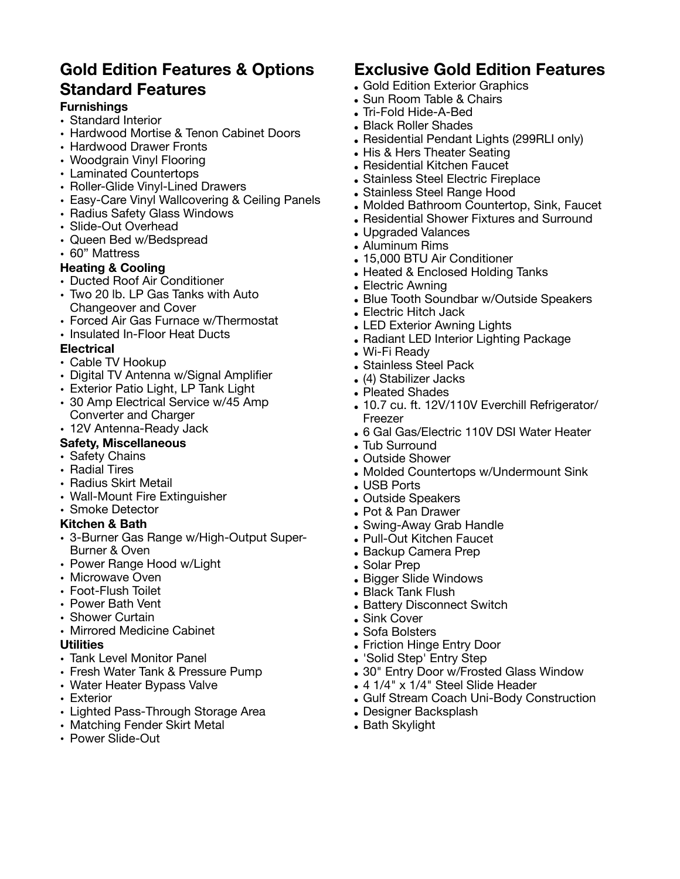# **Gold Edition Features & Options Standard Features**

## **Furnishings**

- Standard Interior
- Hardwood Mortise & Tenon Cabinet Doors
- Hardwood Drawer Fronts
- Woodgrain Vinyl Flooring
- Laminated Countertops
- Roller-Glide Vinyl-Lined Drawers
- Easy-Care Vinyl Wallcovering & Ceiling Panels
- Radius Safety Glass Windows
- Slide-Out Overhead
- Queen Bed w/Bedspread
- 60" Mattress

### **Heating & Cooling**

- Ducted Roof Air Conditioner
- Two 20 lb. LP Gas Tanks with Auto Changeover and Cover
- Forced Air Gas Furnace w/Thermostat
- Insulated In-Floor Heat Ducts

### **Electrical**

- Cable TV Hookup
- Digital TV Antenna w/Signal Amplifier
- Exterior Patio Light, LP Tank Light
- 30 Amp Electrical Service w/45 Amp Converter and Charger
- 12V Antenna-Ready Jack

## **Safety, Miscellaneous**

- Safety Chains
- Radial Tires
- Radius Skirt Metail
- Wall-Mount Fire Extinguisher
- Smoke Detector

### **Kitchen & Bath**

- 3-Burner Gas Range w/High-Output Super-Burner & Oven
- Power Range Hood w/Light
- Microwave Oven
- Foot-Flush Toilet
- Power Bath Vent
- Shower Curtain
- Mirrored Medicine Cabinet

### **Utilities**

- Tank Level Monitor Panel
- Fresh Water Tank & Pressure Pump
- Water Heater Bypass Valve
- Exterior
- Lighted Pass-Through Storage Area
- Matching Fender Skirt Metal
- Power Slide-Out

## **Exclusive Gold Edition Features**

- Gold Edition Exterior Graphics
- Sun Room Table & Chairs
- Tri-Fold Hide-A-Bed
- Black Roller Shades
- Residential Pendant Lights (299RLI only)
- His & Hers Theater Seating
- Residential Kitchen Faucet
- Stainless Steel Electric Fireplace
- Stainless Steel Range Hood
- Molded Bathroom Countertop, Sink, Faucet
- Residential Shower Fixtures and Surround
- Upgraded Valances
- Aluminum Rims
- 15,000 BTU Air Conditioner
- Heated & Enclosed Holding Tanks
- Electric Awning
- Blue Tooth Soundbar w/Outside Speakers
- Electric Hitch Jack
- LED Exterior Awning Lights
- Radiant LED Interior Lighting Package
- Wi-Fi Ready
- Stainless Steel Pack
- (4) Stabilizer Jacks
- Pleated Shades
- 10.7 cu. ft. 12V/110V Everchill Refrigerator/ Freezer
- 6 Gal Gas/Electric 110V DSI Water Heater
- Tub Surround
- Outside Shower
- Molded Countertops w/Undermount Sink
- USB Ports
- Outside Speakers
- Pot & Pan Drawer
- Swing-Away Grab Handle
- Pull-Out Kitchen Faucet
- Backup Camera Prep
- Solar Prep
- Bigger Slide Windows
- Black Tank Flush
- Battery Disconnect Switch
- Sink Cover
- Sofa Bolsters
- Friction Hinge Entry Door
- 'Solid Step' Entry Step
- 30" Entry Door w/Frosted Glass Window
- 4 1/4" x 1/4" Steel Slide Header
- Gulf Stream Coach Uni-Body Construction
- Designer Backsplash
- Bath Skylight